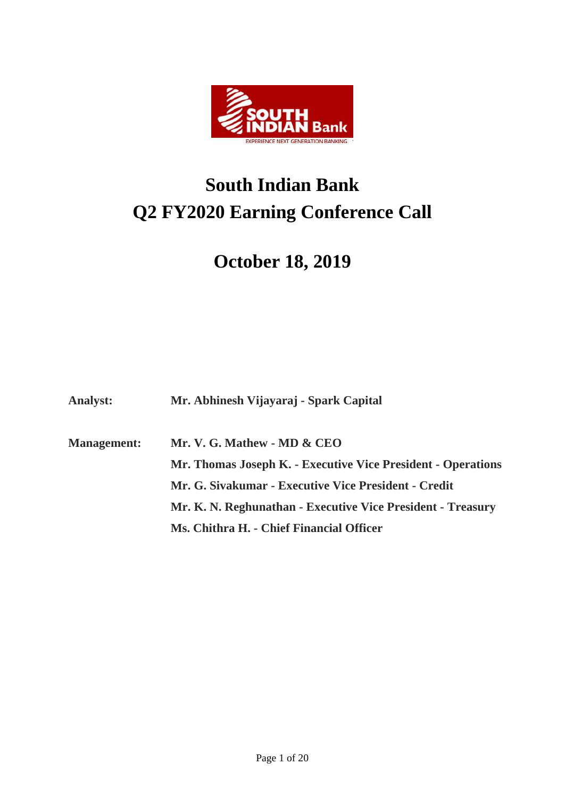

# **South Indian Bank Q2 FY2020 Earning Conference Call**

# **October 18, 2019**

**Analyst: Mr. Abhinesh Vijayaraj - Spark Capital**

**Management: Mr. V. G. Mathew - MD & CEO Mr. Thomas Joseph K. - Executive Vice President - Operations Mr. G. Sivakumar - Executive Vice President - Credit Mr. K. N. Reghunathan - Executive Vice President - Treasury Ms. Chithra H. - Chief Financial Officer**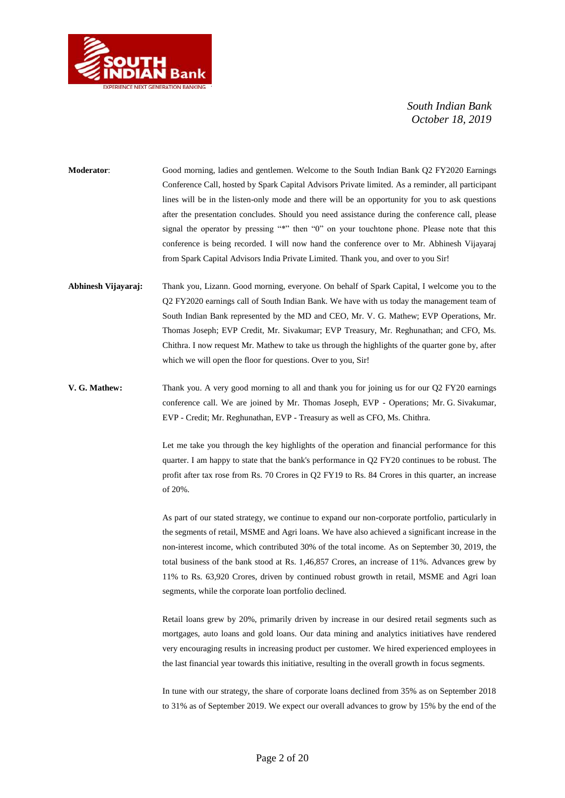

**Moderator**: Good morning, ladies and gentlemen. Welcome to the South Indian Bank Q2 FY2020 Earnings Conference Call, hosted by Spark Capital Advisors Private limited. As a reminder, all participant lines will be in the listen-only mode and there will be an opportunity for you to ask questions after the presentation concludes. Should you need assistance during the conference call, please signal the operator by pressing "\*" then "0" on your touchtone phone. Please note that this conference is being recorded. I will now hand the conference over to Mr. Abhinesh Vijayaraj from Spark Capital Advisors India Private Limited. Thank you, and over to you Sir!

- **Abhinesh Vijayaraj:** Thank you, Lizann. Good morning, everyone. On behalf of Spark Capital, I welcome you to the Q2 FY2020 earnings call of South Indian Bank. We have with us today the management team of South Indian Bank represented by the MD and CEO, Mr. V. G. Mathew; EVP Operations, Mr. Thomas Joseph; EVP Credit, Mr. Sivakumar; EVP Treasury, Mr. Reghunathan; and CFO, Ms. Chithra. I now request Mr. Mathew to take us through the highlights of the quarter gone by, after which we will open the floor for questions. Over to you, Sir!
- **V. G. Mathew:** Thank you. A very good morning to all and thank you for joining us for our Q2 FY20 earnings conference call. We are joined by Mr. Thomas Joseph, EVP - Operations; Mr. G. Sivakumar, EVP - Credit; Mr. Reghunathan, EVP - Treasury as well as CFO, Ms. Chithra.

Let me take you through the key highlights of the operation and financial performance for this quarter. I am happy to state that the bank's performance in Q2 FY20 continues to be robust. The profit after tax rose from Rs. 70 Crores in Q2 FY19 to Rs. 84 Crores in this quarter, an increase of 20%.

As part of our stated strategy, we continue to expand our non-corporate portfolio, particularly in the segments of retail, MSME and Agri loans. We have also achieved a significant increase in the non-interest income, which contributed 30% of the total income. As on September 30, 2019, the total business of the bank stood at Rs. 1,46,857 Crores, an increase of 11%. Advances grew by 11% to Rs. 63,920 Crores, driven by continued robust growth in retail, MSME and Agri loan segments, while the corporate loan portfolio declined.

Retail loans grew by 20%, primarily driven by increase in our desired retail segments such as mortgages, auto loans and gold loans. Our data mining and analytics initiatives have rendered very encouraging results in increasing product per customer. We hired experienced employees in the last financial year towards this initiative, resulting in the overall growth in focus segments.

In tune with our strategy, the share of corporate loans declined from 35% as on September 2018 to 31% as of September 2019. We expect our overall advances to grow by 15% by the end of the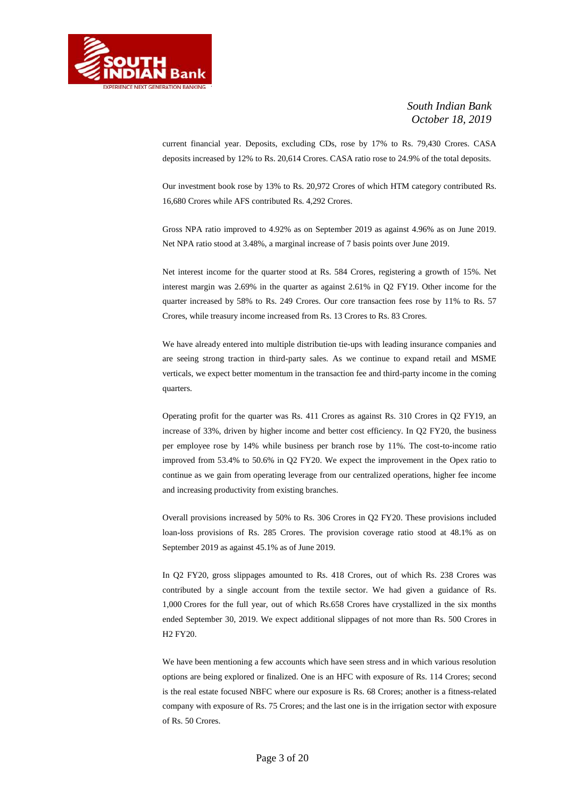

current financial year. Deposits, excluding CDs, rose by 17% to Rs. 79,430 Crores. CASA deposits increased by 12% to Rs. 20,614 Crores. CASA ratio rose to 24.9% of the total deposits.

Our investment book rose by 13% to Rs. 20,972 Crores of which HTM category contributed Rs. 16,680 Crores while AFS contributed Rs. 4,292 Crores.

Gross NPA ratio improved to 4.92% as on September 2019 as against 4.96% as on June 2019. Net NPA ratio stood at 3.48%, a marginal increase of 7 basis points over June 2019.

Net interest income for the quarter stood at Rs. 584 Crores, registering a growth of 15%. Net interest margin was 2.69% in the quarter as against 2.61% in Q2 FY19. Other income for the quarter increased by 58% to Rs. 249 Crores. Our core transaction fees rose by 11% to Rs. 57 Crores, while treasury income increased from Rs. 13 Crores to Rs. 83 Crores.

We have already entered into multiple distribution tie-ups with leading insurance companies and are seeing strong traction in third-party sales. As we continue to expand retail and MSME verticals, we expect better momentum in the transaction fee and third-party income in the coming quarters.

Operating profit for the quarter was Rs. 411 Crores as against Rs. 310 Crores in Q2 FY19, an increase of 33%, driven by higher income and better cost efficiency. In Q2 FY20, the business per employee rose by 14% while business per branch rose by 11%. The cost-to-income ratio improved from 53.4% to 50.6% in Q2 FY20. We expect the improvement in the Opex ratio to continue as we gain from operating leverage from our centralized operations, higher fee income and increasing productivity from existing branches.

Overall provisions increased by 50% to Rs. 306 Crores in Q2 FY20. These provisions included loan-loss provisions of Rs. 285 Crores. The provision coverage ratio stood at 48.1% as on September 2019 as against 45.1% as of June 2019.

In Q2 FY20, gross slippages amounted to Rs. 418 Crores, out of which Rs. 238 Crores was contributed by a single account from the textile sector. We had given a guidance of Rs. 1,000 Crores for the full year, out of which Rs.658 Crores have crystallized in the six months ended September 30, 2019. We expect additional slippages of not more than Rs. 500 Crores in H2 FY20.

We have been mentioning a few accounts which have seen stress and in which various resolution options are being explored or finalized. One is an HFC with exposure of Rs. 114 Crores; second is the real estate focused NBFC where our exposure is Rs. 68 Crores; another is a fitness-related company with exposure of Rs. 75 Crores; and the last one is in the irrigation sector with exposure of Rs. 50 Crores.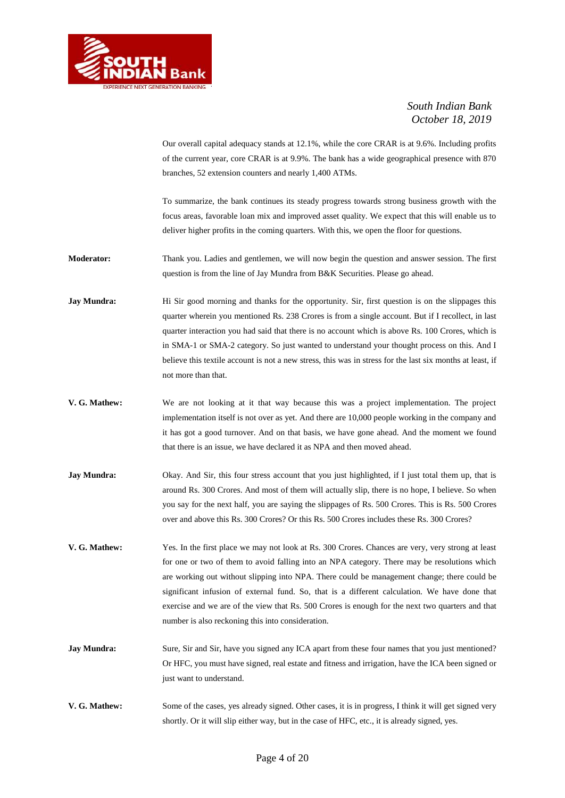

Our overall capital adequacy stands at 12.1%, while the core CRAR is at 9.6%. Including profits of the current year, core CRAR is at 9.9%. The bank has a wide geographical presence with 870 branches, 52 extension counters and nearly 1,400 ATMs.

To summarize, the bank continues its steady progress towards strong business growth with the focus areas, favorable loan mix and improved asset quality. We expect that this will enable us to deliver higher profits in the coming quarters. With this, we open the floor for questions.

**Moderator:** Thank you. Ladies and gentlemen, we will now begin the question and answer session. The first question is from the line of Jay Mundra from B&K Securities. Please go ahead.

- **Jay Mundra:** Hi Sir good morning and thanks for the opportunity. Sir, first question is on the slippages this quarter wherein you mentioned Rs. 238 Crores is from a single account. But if I recollect, in last quarter interaction you had said that there is no account which is above Rs. 100 Crores, which is in SMA-1 or SMA-2 category. So just wanted to understand your thought process on this. And I believe this textile account is not a new stress, this was in stress for the last six months at least, if not more than that.
- **V. G. Mathew:** We are not looking at it that way because this was a project implementation. The project implementation itself is not over as yet. And there are 10,000 people working in the company and it has got a good turnover. And on that basis, we have gone ahead. And the moment we found that there is an issue, we have declared it as NPA and then moved ahead.
- **Jay Mundra:** Okay. And Sir, this four stress account that you just highlighted, if I just total them up, that is around Rs. 300 Crores. And most of them will actually slip, there is no hope, I believe. So when you say for the next half, you are saying the slippages of Rs. 500 Crores. This is Rs. 500 Crores over and above this Rs. 300 Crores? Or this Rs. 500 Crores includes these Rs. 300 Crores?
- **V. G. Mathew:** Yes. In the first place we may not look at Rs. 300 Crores. Chances are very, very strong at least for one or two of them to avoid falling into an NPA category. There may be resolutions which are working out without slipping into NPA. There could be management change; there could be significant infusion of external fund. So, that is a different calculation. We have done that exercise and we are of the view that Rs. 500 Crores is enough for the next two quarters and that number is also reckoning this into consideration.
- **Jay Mundra:** Sure, Sir and Sir, have you signed any ICA apart from these four names that you just mentioned? Or HFC, you must have signed, real estate and fitness and irrigation, have the ICA been signed or just want to understand.
- **V. G. Mathew:** Some of the cases, yes already signed. Other cases, it is in progress, I think it will get signed very shortly. Or it will slip either way, but in the case of HFC, etc., it is already signed, yes.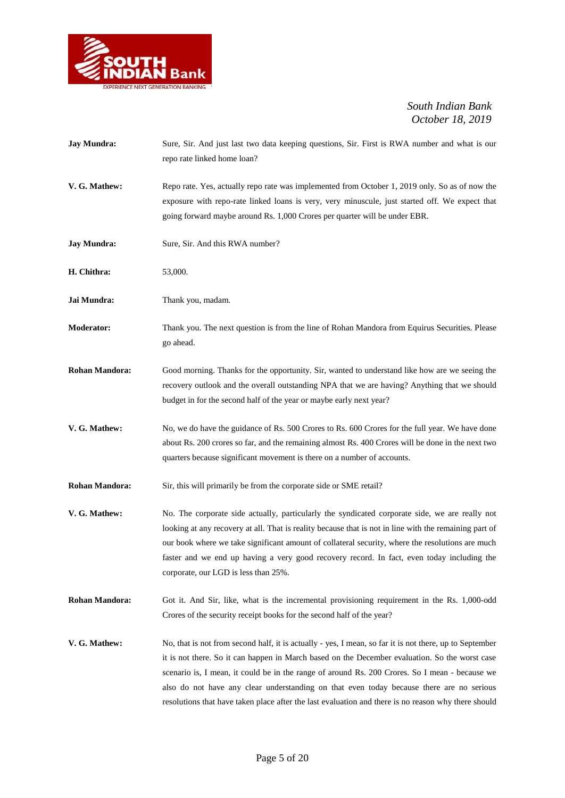

| <b>Jay Mundra:</b>    | Sure, Sir. And just last two data keeping questions, Sir. First is RWA number and what is our<br>repo rate linked home loan?                                                                                                                                                                                                                                                                                                                                                                                   |
|-----------------------|----------------------------------------------------------------------------------------------------------------------------------------------------------------------------------------------------------------------------------------------------------------------------------------------------------------------------------------------------------------------------------------------------------------------------------------------------------------------------------------------------------------|
| V. G. Mathew:         | Repo rate. Yes, actually repo rate was implemented from October 1, 2019 only. So as of now the<br>exposure with repo-rate linked loans is very, very minuscule, just started off. We expect that<br>going forward maybe around Rs. 1,000 Crores per quarter will be under EBR.                                                                                                                                                                                                                                 |
| <b>Jay Mundra:</b>    | Sure, Sir. And this RWA number?                                                                                                                                                                                                                                                                                                                                                                                                                                                                                |
| H. Chithra:           | 53,000.                                                                                                                                                                                                                                                                                                                                                                                                                                                                                                        |
| Jai Mundra:           | Thank you, madam.                                                                                                                                                                                                                                                                                                                                                                                                                                                                                              |
| <b>Moderator:</b>     | Thank you. The next question is from the line of Rohan Mandora from Equirus Securities. Please<br>go ahead.                                                                                                                                                                                                                                                                                                                                                                                                    |
| <b>Rohan Mandora:</b> | Good morning. Thanks for the opportunity. Sir, wanted to understand like how are we seeing the<br>recovery outlook and the overall outstanding NPA that we are having? Anything that we should<br>budget in for the second half of the year or maybe early next year?                                                                                                                                                                                                                                          |
| V. G. Mathew:         | No, we do have the guidance of Rs. 500 Crores to Rs. 600 Crores for the full year. We have done<br>about Rs. 200 crores so far, and the remaining almost Rs. 400 Crores will be done in the next two<br>quarters because significant movement is there on a number of accounts.                                                                                                                                                                                                                                |
| <b>Rohan Mandora:</b> | Sir, this will primarily be from the corporate side or SME retail?                                                                                                                                                                                                                                                                                                                                                                                                                                             |
| V. G. Mathew:         | No. The corporate side actually, particularly the syndicated corporate side, we are really not<br>looking at any recovery at all. That is reality because that is not in line with the remaining part of<br>our book where we take significant amount of collateral security, where the resolutions are much<br>faster and we end up having a very good recovery record. In fact, even today including the<br>corporate, our LGD is less than 25%.                                                             |
| <b>Rohan Mandora:</b> | Got it. And Sir, like, what is the incremental provisioning requirement in the Rs. 1,000-odd<br>Crores of the security receipt books for the second half of the year?                                                                                                                                                                                                                                                                                                                                          |
| V. G. Mathew:         | No, that is not from second half, it is actually - yes, I mean, so far it is not there, up to September<br>it is not there. So it can happen in March based on the December evaluation. So the worst case<br>scenario is, I mean, it could be in the range of around Rs. 200 Crores. So I mean - because we<br>also do not have any clear understanding on that even today because there are no serious<br>resolutions that have taken place after the last evaluation and there is no reason why there should |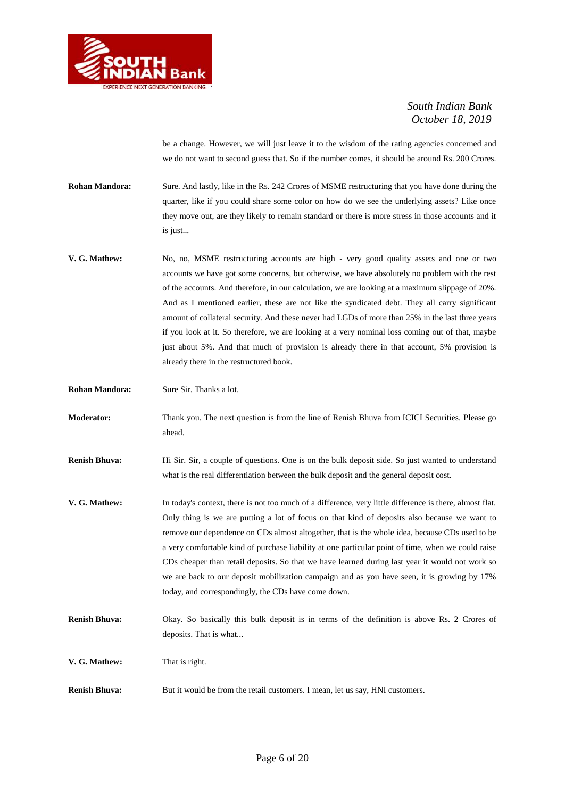

be a change. However, we will just leave it to the wisdom of the rating agencies concerned and we do not want to second guess that. So if the number comes, it should be around Rs. 200 Crores.

**Rohan Mandora:** Sure. And lastly, like in the Rs. 242 Crores of MSME restructuring that you have done during the quarter, like if you could share some color on how do we see the underlying assets? Like once they move out, are they likely to remain standard or there is more stress in those accounts and it is just...

- **V. G. Mathew:** No, no, MSME restructuring accounts are high very good quality assets and one or two accounts we have got some concerns, but otherwise, we have absolutely no problem with the rest of the accounts. And therefore, in our calculation, we are looking at a maximum slippage of 20%. And as I mentioned earlier, these are not like the syndicated debt. They all carry significant amount of collateral security. And these never had LGDs of more than 25% in the last three years if you look at it. So therefore, we are looking at a very nominal loss coming out of that, maybe just about 5%. And that much of provision is already there in that account, 5% provision is already there in the restructured book.
- **Rohan Mandora:** Sure Sir. Thanks a lot.
- **Moderator:** Thank you. The next question is from the line of Renish Bhuva from ICICI Securities. Please go ahead.

**Renish Bhuva:** Hi Sir. Sir, a couple of questions. One is on the bulk deposit side. So just wanted to understand what is the real differentiation between the bulk deposit and the general deposit cost.

- **V. G. Mathew:** In today's context, there is not too much of a difference, very little difference is there, almost flat. Only thing is we are putting a lot of focus on that kind of deposits also because we want to remove our dependence on CDs almost altogether, that is the whole idea, because CDs used to be a very comfortable kind of purchase liability at one particular point of time, when we could raise CDs cheaper than retail deposits. So that we have learned during last year it would not work so we are back to our deposit mobilization campaign and as you have seen, it is growing by 17% today, and correspondingly, the CDs have come down.
- **Renish Bhuva:** Okay. So basically this bulk deposit is in terms of the definition is above Rs. 2 Crores of deposits. That is what...

**V. G. Mathew:** That is right.

**Renish Bhuva:** But it would be from the retail customers. I mean, let us say, HNI customers.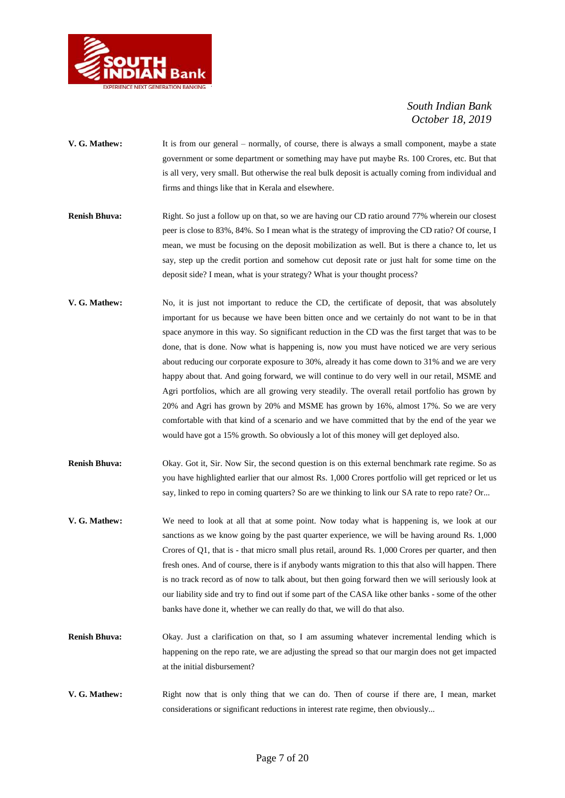

- **V. G. Mathew:** It is from our general normally, of course, there is always a small component, maybe a state government or some department or something may have put maybe Rs. 100 Crores, etc. But that is all very, very small. But otherwise the real bulk deposit is actually coming from individual and firms and things like that in Kerala and elsewhere.
- **Renish Bhuva:** Right. So just a follow up on that, so we are having our CD ratio around 77% wherein our closest peer is close to 83%, 84%. So I mean what is the strategy of improving the CD ratio? Of course, I mean, we must be focusing on the deposit mobilization as well. But is there a chance to, let us say, step up the credit portion and somehow cut deposit rate or just halt for some time on the deposit side? I mean, what is your strategy? What is your thought process?
- **V. G. Mathew:** No, it is just not important to reduce the CD, the certificate of deposit, that was absolutely important for us because we have been bitten once and we certainly do not want to be in that space anymore in this way. So significant reduction in the CD was the first target that was to be done, that is done. Now what is happening is, now you must have noticed we are very serious about reducing our corporate exposure to 30%, already it has come down to 31% and we are very happy about that. And going forward, we will continue to do very well in our retail, MSME and Agri portfolios, which are all growing very steadily. The overall retail portfolio has grown by 20% and Agri has grown by 20% and MSME has grown by 16%, almost 17%. So we are very comfortable with that kind of a scenario and we have committed that by the end of the year we would have got a 15% growth. So obviously a lot of this money will get deployed also.
- **Renish Bhuva:** Okay. Got it, Sir. Now Sir, the second question is on this external benchmark rate regime. So as you have highlighted earlier that our almost Rs. 1,000 Crores portfolio will get repriced or let us say, linked to repo in coming quarters? So are we thinking to link our SA rate to repo rate? Or...
- **V. G. Mathew:** We need to look at all that at some point. Now today what is happening is, we look at our sanctions as we know going by the past quarter experience, we will be having around Rs. 1,000 Crores of Q1, that is - that micro small plus retail, around Rs. 1,000 Crores per quarter, and then fresh ones. And of course, there is if anybody wants migration to this that also will happen. There is no track record as of now to talk about, but then going forward then we will seriously look at our liability side and try to find out if some part of the CASA like other banks - some of the other banks have done it, whether we can really do that, we will do that also.
- **Renish Bhuva:** Okay. Just a clarification on that, so I am assuming whatever incremental lending which is happening on the repo rate, we are adjusting the spread so that our margin does not get impacted at the initial disbursement?
- **V. G. Mathew:** Right now that is only thing that we can do. Then of course if there are, I mean, market considerations or significant reductions in interest rate regime, then obviously...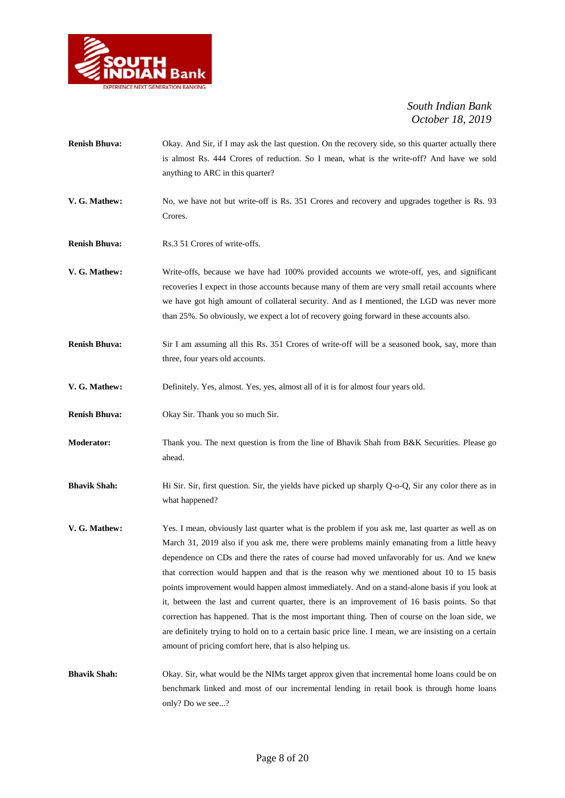

| <b>Renish Bhuva:</b> | Okay. And Sir, if I may ask the last question. On the recovery side, so this quarter actually there<br>is almost Rs. 444 Crores of reduction. So I mean, what is the write-off? And have we sold<br>anything to ARC in this quarter?                                                                                                                                                                                                                                                                                                                                                                                                                                                                                                                                                                                                                                |
|----------------------|---------------------------------------------------------------------------------------------------------------------------------------------------------------------------------------------------------------------------------------------------------------------------------------------------------------------------------------------------------------------------------------------------------------------------------------------------------------------------------------------------------------------------------------------------------------------------------------------------------------------------------------------------------------------------------------------------------------------------------------------------------------------------------------------------------------------------------------------------------------------|
| V. G. Mathew:        | No, we have not but write-off is Rs. 351 Crores and recovery and upgrades together is Rs. 93<br>Crores.                                                                                                                                                                                                                                                                                                                                                                                                                                                                                                                                                                                                                                                                                                                                                             |
| <b>Renish Bhuva:</b> | Rs.3 51 Crores of write-offs.                                                                                                                                                                                                                                                                                                                                                                                                                                                                                                                                                                                                                                                                                                                                                                                                                                       |
| V. G. Mathew:        | Write-offs, because we have had 100% provided accounts we wrote-off, yes, and significant<br>recoveries I expect in those accounts because many of them are very small retail accounts where<br>we have got high amount of collateral security. And as I mentioned, the LGD was never more<br>than 25%. So obviously, we expect a lot of recovery going forward in these accounts also.                                                                                                                                                                                                                                                                                                                                                                                                                                                                             |
| <b>Renish Bhuva:</b> | Sir I am assuming all this Rs. 351 Crores of write-off will be a seasoned book, say, more than<br>three, four years old accounts.                                                                                                                                                                                                                                                                                                                                                                                                                                                                                                                                                                                                                                                                                                                                   |
| V. G. Mathew:        | Definitely. Yes, almost. Yes, yes, almost all of it is for almost four years old.                                                                                                                                                                                                                                                                                                                                                                                                                                                                                                                                                                                                                                                                                                                                                                                   |
| <b>Renish Bhuva:</b> | Okay Sir. Thank you so much Sir.                                                                                                                                                                                                                                                                                                                                                                                                                                                                                                                                                                                                                                                                                                                                                                                                                                    |
| Moderator:           | Thank you. The next question is from the line of Bhavik Shah from B&K Securities. Please go<br>ahead.                                                                                                                                                                                                                                                                                                                                                                                                                                                                                                                                                                                                                                                                                                                                                               |
| <b>Bhavik Shah:</b>  | Hi Sir. Sir, first question. Sir, the yields have picked up sharply Q-o-Q, Sir any color there as in<br>what happened?                                                                                                                                                                                                                                                                                                                                                                                                                                                                                                                                                                                                                                                                                                                                              |
| V. G. Mathew:        | Yes. I mean, obviously last quarter what is the problem if you ask me, last quarter as well as on<br>March 31, 2019 also if you ask me, there were problems mainly emanating from a little heavy<br>dependence on CDs and there the rates of course had moved unfavorably for us. And we knew<br>that correction would happen and that is the reason why we mentioned about 10 to 15 basis<br>points improvement would happen almost immediately. And on a stand-alone basis if you look at<br>it, between the last and current quarter, there is an improvement of 16 basis points. So that<br>correction has happened. That is the most important thing. Then of course on the loan side, we<br>are definitely trying to hold on to a certain basic price line. I mean, we are insisting on a certain<br>amount of pricing comfort here, that is also helping us. |
| <b>Bhavik Shah:</b>  | Okay. Sir, what would be the NIMs target approx given that incremental home loans could be on<br>benchmark linked and most of our incremental lending in retail book is through home loans<br>only? Do we see?                                                                                                                                                                                                                                                                                                                                                                                                                                                                                                                                                                                                                                                      |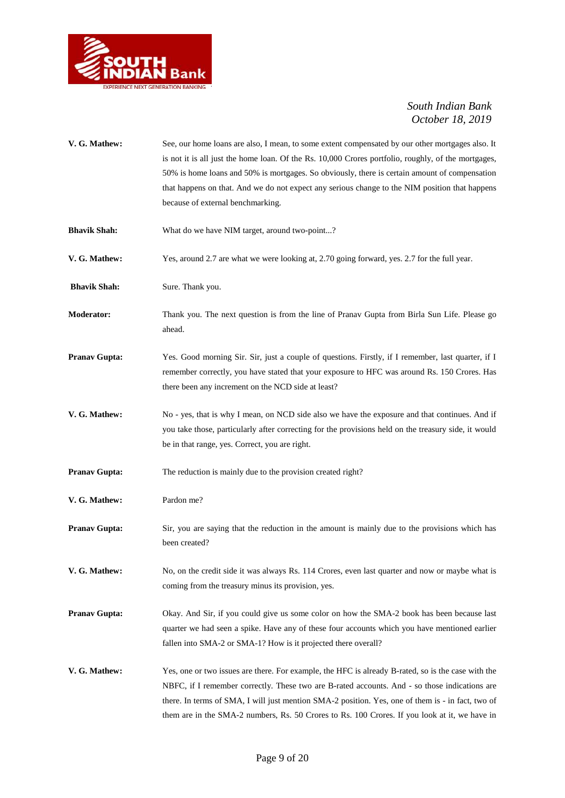

| V. G. Mathew:        | See, our home loans are also, I mean, to some extent compensated by our other mortgages also. It<br>is not it is all just the home loan. Of the Rs. 10,000 Crores portfolio, roughly, of the mortgages,<br>50% is home loans and 50% is mortgages. So obviously, there is certain amount of compensation<br>that happens on that. And we do not expect any serious change to the NIM position that happens<br>because of external benchmarking. |
|----------------------|-------------------------------------------------------------------------------------------------------------------------------------------------------------------------------------------------------------------------------------------------------------------------------------------------------------------------------------------------------------------------------------------------------------------------------------------------|
| <b>Bhavik Shah:</b>  | What do we have NIM target, around two-point?                                                                                                                                                                                                                                                                                                                                                                                                   |
| V. G. Mathew:        | Yes, around 2.7 are what we were looking at, 2.70 going forward, yes. 2.7 for the full year.                                                                                                                                                                                                                                                                                                                                                    |
| <b>Bhavik Shah:</b>  | Sure. Thank you.                                                                                                                                                                                                                                                                                                                                                                                                                                |
| <b>Moderator:</b>    | Thank you. The next question is from the line of Pranav Gupta from Birla Sun Life. Please go<br>ahead.                                                                                                                                                                                                                                                                                                                                          |
| <b>Pranav Gupta:</b> | Yes. Good morning Sir. Sir, just a couple of questions. Firstly, if I remember, last quarter, if I<br>remember correctly, you have stated that your exposure to HFC was around Rs. 150 Crores. Has<br>there been any increment on the NCD side at least?                                                                                                                                                                                        |
| V. G. Mathew:        | No - yes, that is why I mean, on NCD side also we have the exposure and that continues. And if<br>you take those, particularly after correcting for the provisions held on the treasury side, it would<br>be in that range, yes. Correct, you are right.                                                                                                                                                                                        |
| <b>Pranav Gupta:</b> | The reduction is mainly due to the provision created right?                                                                                                                                                                                                                                                                                                                                                                                     |
| V. G. Mathew:        | Pardon me?                                                                                                                                                                                                                                                                                                                                                                                                                                      |
| <b>Pranav Gupta:</b> | Sir, you are saying that the reduction in the amount is mainly due to the provisions which has<br>been created?                                                                                                                                                                                                                                                                                                                                 |
| V. G. Mathew:        | No, on the credit side it was always Rs. 114 Crores, even last quarter and now or maybe what is<br>coming from the treasury minus its provision, yes.                                                                                                                                                                                                                                                                                           |
| <b>Pranav Gupta:</b> | Okay. And Sir, if you could give us some color on how the SMA-2 book has been because last<br>quarter we had seen a spike. Have any of these four accounts which you have mentioned earlier<br>fallen into SMA-2 or SMA-1? How is it projected there overall?                                                                                                                                                                                   |
| V. G. Mathew:        | Yes, one or two issues are there. For example, the HFC is already B-rated, so is the case with the<br>NBFC, if I remember correctly. These two are B-rated accounts. And - so those indications are<br>there. In terms of SMA, I will just mention SMA-2 position. Yes, one of them is - in fact, two of<br>them are in the SMA-2 numbers, Rs. 50 Crores to Rs. 100 Crores. If you look at it, we have in                                       |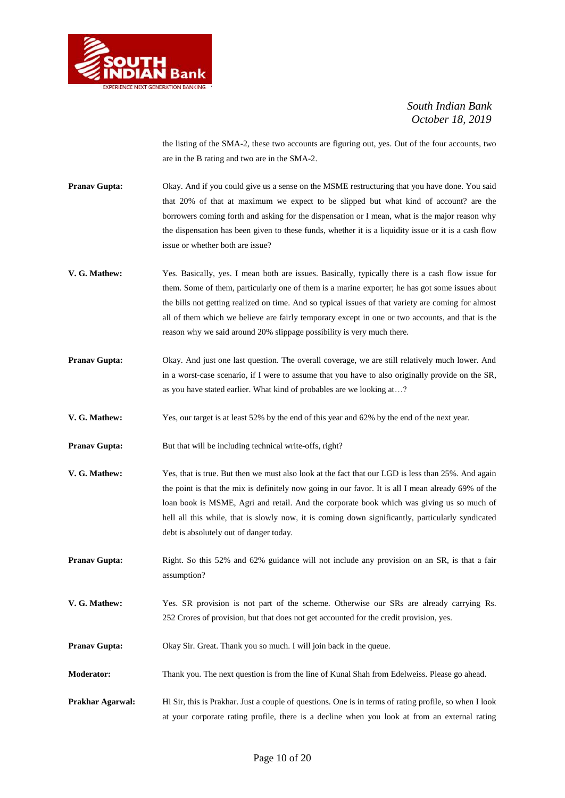

the listing of the SMA-2, these two accounts are figuring out, yes. Out of the four accounts, two are in the B rating and two are in the SMA-2.

- **Pranav Gupta:** Okay. And if you could give us a sense on the MSME restructuring that you have done. You said that 20% of that at maximum we expect to be slipped but what kind of account? are the borrowers coming forth and asking for the dispensation or I mean, what is the major reason why the dispensation has been given to these funds, whether it is a liquidity issue or it is a cash flow issue or whether both are issue?
- **V. G. Mathew:** Yes. Basically, yes. I mean both are issues. Basically, typically there is a cash flow issue for them. Some of them, particularly one of them is a marine exporter; he has got some issues about the bills not getting realized on time. And so typical issues of that variety are coming for almost all of them which we believe are fairly temporary except in one or two accounts, and that is the reason why we said around 20% slippage possibility is very much there.
- **Pranav Gupta:** Okay. And just one last question. The overall coverage, we are still relatively much lower. And in a worst-case scenario, if I were to assume that you have to also originally provide on the SR, as you have stated earlier. What kind of probables are we looking at…?
- **V. G. Mathew:** Yes, our target is at least 52% by the end of this year and 62% by the end of the next year.
- **Pranav Gupta:** But that will be including technical write-offs, right?
- **V. G. Mathew:** Yes, that is true. But then we must also look at the fact that our LGD is less than 25%. And again the point is that the mix is definitely now going in our favor. It is all I mean already 69% of the loan book is MSME, Agri and retail. And the corporate book which was giving us so much of hell all this while, that is slowly now, it is coming down significantly, particularly syndicated debt is absolutely out of danger today.
- **Pranav Gupta:** Right. So this 52% and 62% guidance will not include any provision on an SR, is that a fair assumption?
- **V. G. Mathew:** Yes. SR provision is not part of the scheme. Otherwise our SRs are already carrying Rs. 252 Crores of provision, but that does not get accounted for the credit provision, yes.
- **Pranav Gupta:** Okay Sir. Great. Thank you so much. I will join back in the queue.
- **Moderator:** Thank you. The next question is from the line of Kunal Shah from Edelweiss. Please go ahead.
- **Prakhar Agarwal:** Hi Sir, this is Prakhar. Just a couple of questions. One is in terms of rating profile, so when I look at your corporate rating profile, there is a decline when you look at from an external rating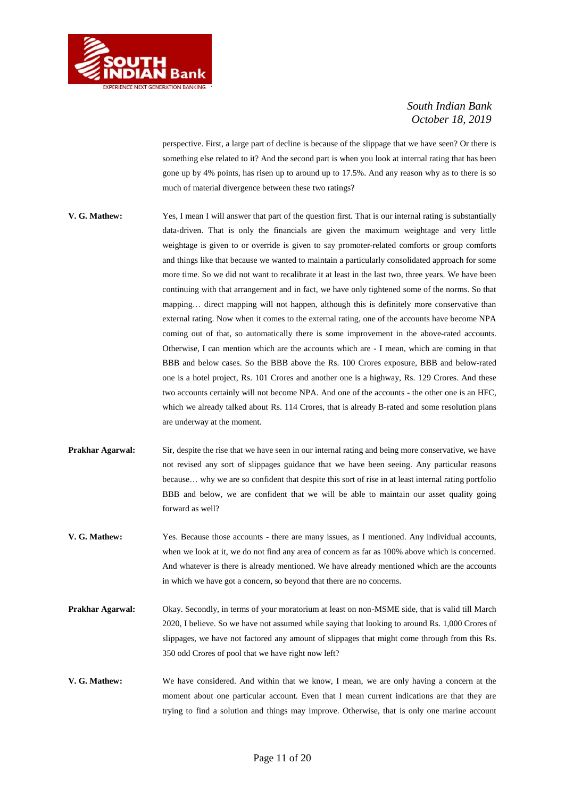

perspective. First, a large part of decline is because of the slippage that we have seen? Or there is something else related to it? And the second part is when you look at internal rating that has been gone up by 4% points, has risen up to around up to 17.5%. And any reason why as to there is so much of material divergence between these two ratings?

- **V. G. Mathew:** Yes, I mean I will answer that part of the question first. That is our internal rating is substantially data-driven. That is only the financials are given the maximum weightage and very little weightage is given to or override is given to say promoter-related comforts or group comforts and things like that because we wanted to maintain a particularly consolidated approach for some more time. So we did not want to recalibrate it at least in the last two, three years. We have been continuing with that arrangement and in fact, we have only tightened some of the norms. So that mapping… direct mapping will not happen, although this is definitely more conservative than external rating. Now when it comes to the external rating, one of the accounts have become NPA coming out of that, so automatically there is some improvement in the above-rated accounts. Otherwise, I can mention which are the accounts which are - I mean, which are coming in that BBB and below cases. So the BBB above the Rs. 100 Crores exposure, BBB and below-rated one is a hotel project, Rs. 101 Crores and another one is a highway, Rs. 129 Crores. And these two accounts certainly will not become NPA. And one of the accounts - the other one is an HFC, which we already talked about Rs. 114 Crores, that is already B-rated and some resolution plans are underway at the moment.
- **Prakhar Agarwal:** Sir, despite the rise that we have seen in our internal rating and being more conservative, we have not revised any sort of slippages guidance that we have been seeing. Any particular reasons because… why we are so confident that despite this sort of rise in at least internal rating portfolio BBB and below, we are confident that we will be able to maintain our asset quality going forward as well?
- **V. G. Mathew:** Yes. Because those accounts there are many issues, as I mentioned. Any individual accounts, when we look at it, we do not find any area of concern as far as 100% above which is concerned. And whatever is there is already mentioned. We have already mentioned which are the accounts in which we have got a concern, so beyond that there are no concerns.
- **Prakhar Agarwal:** Okay. Secondly, in terms of your moratorium at least on non-MSME side, that is valid till March 2020, I believe. So we have not assumed while saying that looking to around Rs. 1,000 Crores of slippages, we have not factored any amount of slippages that might come through from this Rs. 350 odd Crores of pool that we have right now left?
- **V. G. Mathew:** We have considered. And within that we know, I mean, we are only having a concern at the moment about one particular account. Even that I mean current indications are that they are trying to find a solution and things may improve. Otherwise, that is only one marine account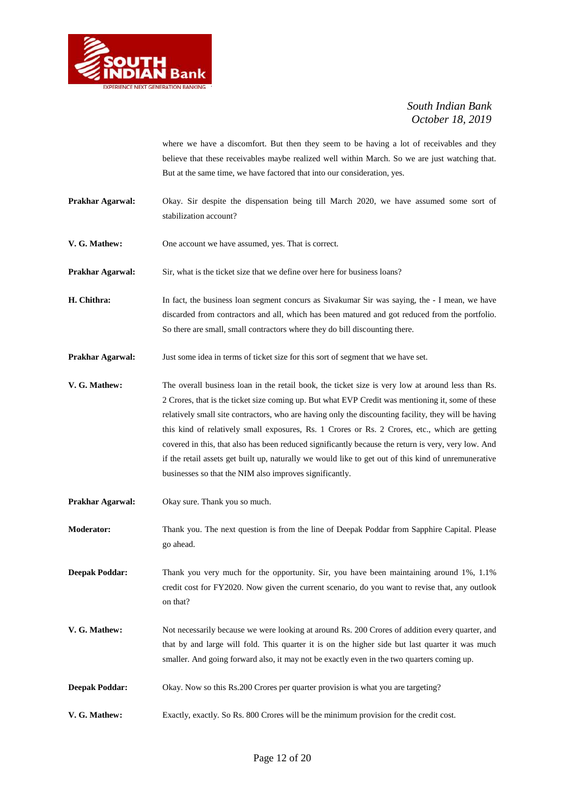

where we have a discomfort. But then they seem to be having a lot of receivables and they believe that these receivables maybe realized well within March. So we are just watching that. But at the same time, we have factored that into our consideration, yes.

**Prakhar Agarwal:** Okay. Sir despite the dispensation being till March 2020, we have assumed some sort of stabilization account?

**V. G. Mathew:** One account we have assumed, yes. That is correct.

**Prakhar Agarwal:** Sir, what is the ticket size that we define over here for business loans?

- **H. Chithra:** In fact, the business loan segment concurs as Sivakumar Sir was saying, the I mean, we have discarded from contractors and all, which has been matured and got reduced from the portfolio. So there are small, small contractors where they do bill discounting there.
- **Prakhar Agarwal:** Just some idea in terms of ticket size for this sort of segment that we have set.
- **V. G. Mathew:** The overall business loan in the retail book, the ticket size is very low at around less than Rs. 2 Crores, that is the ticket size coming up. But what EVP Credit was mentioning it, some of these relatively small site contractors, who are having only the discounting facility, they will be having this kind of relatively small exposures, Rs. 1 Crores or Rs. 2 Crores, etc., which are getting covered in this, that also has been reduced significantly because the return is very, very low. And if the retail assets get built up, naturally we would like to get out of this kind of unremunerative businesses so that the NIM also improves significantly.
- **Prakhar Agarwal:** Okay sure. Thank you so much.
- **Moderator:** Thank you. The next question is from the line of Deepak Poddar from Sapphire Capital. Please go ahead.

**Deepak Poddar:** Thank you very much for the opportunity. Sir, you have been maintaining around 1%, 1.1% credit cost for FY2020. Now given the current scenario, do you want to revise that, any outlook on that?

- **V. G. Mathew:** Not necessarily because we were looking at around Rs. 200 Crores of addition every quarter, and that by and large will fold. This quarter it is on the higher side but last quarter it was much smaller. And going forward also, it may not be exactly even in the two quarters coming up.
- **Deepak Poddar:** Okay. Now so this Rs.200 Crores per quarter provision is what you are targeting?
- **V. G. Mathew:** Exactly, exactly. So Rs. 800 Crores will be the minimum provision for the credit cost.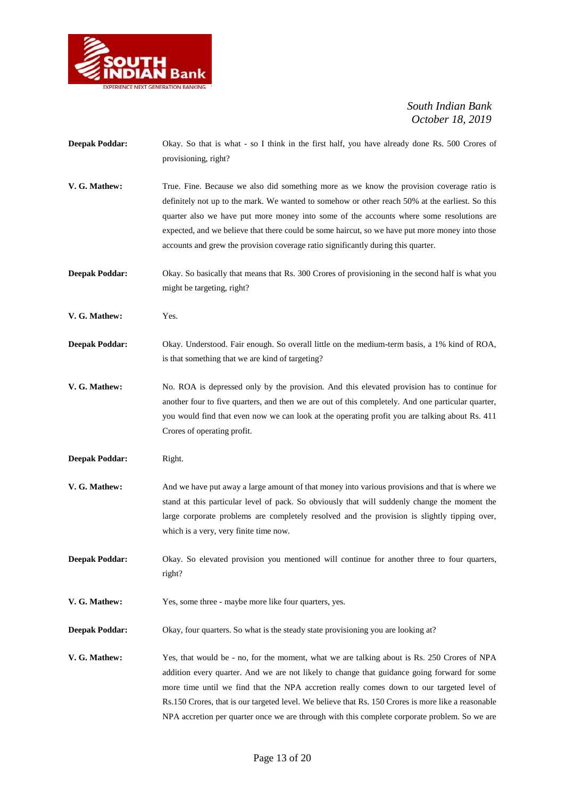

| <b>Deepak Poddar:</b> | Okay. So that is what - so I think in the first half, you have already done Rs. 500 Crores of<br>provisioning, right?                                                                                                                                                                                                                                                                                                                                                                            |
|-----------------------|--------------------------------------------------------------------------------------------------------------------------------------------------------------------------------------------------------------------------------------------------------------------------------------------------------------------------------------------------------------------------------------------------------------------------------------------------------------------------------------------------|
| V. G. Mathew:         | True. Fine. Because we also did something more as we know the provision coverage ratio is<br>definitely not up to the mark. We wanted to somehow or other reach 50% at the earliest. So this<br>quarter also we have put more money into some of the accounts where some resolutions are<br>expected, and we believe that there could be some haircut, so we have put more money into those<br>accounts and grew the provision coverage ratio significantly during this quarter.                 |
| <b>Deepak Poddar:</b> | Okay. So basically that means that Rs. 300 Crores of provisioning in the second half is what you<br>might be targeting, right?                                                                                                                                                                                                                                                                                                                                                                   |
| V. G. Mathew:         | Yes.                                                                                                                                                                                                                                                                                                                                                                                                                                                                                             |
| <b>Deepak Poddar:</b> | Okay. Understood. Fair enough. So overall little on the medium-term basis, a 1% kind of ROA,<br>is that something that we are kind of targeting?                                                                                                                                                                                                                                                                                                                                                 |
| V. G. Mathew:         | No. ROA is depressed only by the provision. And this elevated provision has to continue for<br>another four to five quarters, and then we are out of this completely. And one particular quarter,<br>you would find that even now we can look at the operating profit you are talking about Rs. 411<br>Crores of operating profit.                                                                                                                                                               |
| <b>Deepak Poddar:</b> | Right.                                                                                                                                                                                                                                                                                                                                                                                                                                                                                           |
| V. G. Mathew:         | And we have put away a large amount of that money into various provisions and that is where we<br>stand at this particular level of pack. So obviously that will suddenly change the moment the<br>large corporate problems are completely resolved and the provision is slightly tipping over,<br>which is a very, very finite time now.                                                                                                                                                        |
| <b>Deepak Poddar:</b> | Okay. So elevated provision you mentioned will continue for another three to four quarters,<br>right?                                                                                                                                                                                                                                                                                                                                                                                            |
| V. G. Mathew:         | Yes, some three - maybe more like four quarters, yes.                                                                                                                                                                                                                                                                                                                                                                                                                                            |
| <b>Deepak Poddar:</b> | Okay, four quarters. So what is the steady state provisioning you are looking at?                                                                                                                                                                                                                                                                                                                                                                                                                |
| V. G. Mathew:         | Yes, that would be - no, for the moment, what we are talking about is Rs. 250 Crores of NPA<br>addition every quarter. And we are not likely to change that guidance going forward for some<br>more time until we find that the NPA accretion really comes down to our targeted level of<br>Rs.150 Crores, that is our targeted level. We believe that Rs. 150 Crores is more like a reasonable<br>NPA accretion per quarter once we are through with this complete corporate problem. So we are |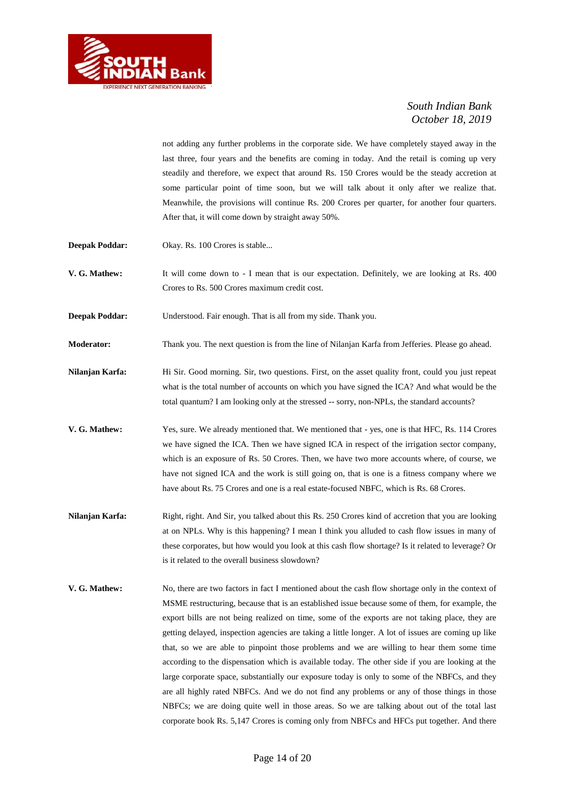

not adding any further problems in the corporate side. We have completely stayed away in the last three, four years and the benefits are coming in today. And the retail is coming up very steadily and therefore, we expect that around Rs. 150 Crores would be the steady accretion at some particular point of time soon, but we will talk about it only after we realize that. Meanwhile, the provisions will continue Rs. 200 Crores per quarter, for another four quarters. After that, it will come down by straight away 50%.

- **Deepak Poddar:** Okay. Rs. 100 Crores is stable...
- **V. G. Mathew:** It will come down to I mean that is our expectation. Definitely, we are looking at Rs. 400 Crores to Rs. 500 Crores maximum credit cost.
- **Deepak Poddar:** Understood. Fair enough. That is all from my side. Thank you.
- **Moderator:** Thank you. The next question is from the line of Nilanjan Karfa from Jefferies. Please go ahead.
- **Nilanjan Karfa:** Hi Sir. Good morning. Sir, two questions. First, on the asset quality front, could you just repeat what is the total number of accounts on which you have signed the ICA? And what would be the total quantum? I am looking only at the stressed -- sorry, non-NPLs, the standard accounts?
- **V. G. Mathew:** Yes, sure. We already mentioned that. We mentioned that yes, one is that HFC, Rs. 114 Crores we have signed the ICA. Then we have signed ICA in respect of the irrigation sector company, which is an exposure of Rs. 50 Crores. Then, we have two more accounts where, of course, we have not signed ICA and the work is still going on, that is one is a fitness company where we have about Rs. 75 Crores and one is a real estate-focused NBFC, which is Rs. 68 Crores.
- **Nilanjan Karfa:** Right, right. And Sir, you talked about this Rs. 250 Crores kind of accretion that you are looking at on NPLs. Why is this happening? I mean I think you alluded to cash flow issues in many of these corporates, but how would you look at this cash flow shortage? Is it related to leverage? Or is it related to the overall business slowdown?
- **V. G. Mathew:** No, there are two factors in fact I mentioned about the cash flow shortage only in the context of MSME restructuring, because that is an established issue because some of them, for example, the export bills are not being realized on time, some of the exports are not taking place, they are getting delayed, inspection agencies are taking a little longer. A lot of issues are coming up like that, so we are able to pinpoint those problems and we are willing to hear them some time according to the dispensation which is available today. The other side if you are looking at the large corporate space, substantially our exposure today is only to some of the NBFCs, and they are all highly rated NBFCs. And we do not find any problems or any of those things in those NBFCs; we are doing quite well in those areas. So we are talking about out of the total last corporate book Rs. 5,147 Crores is coming only from NBFCs and HFCs put together. And there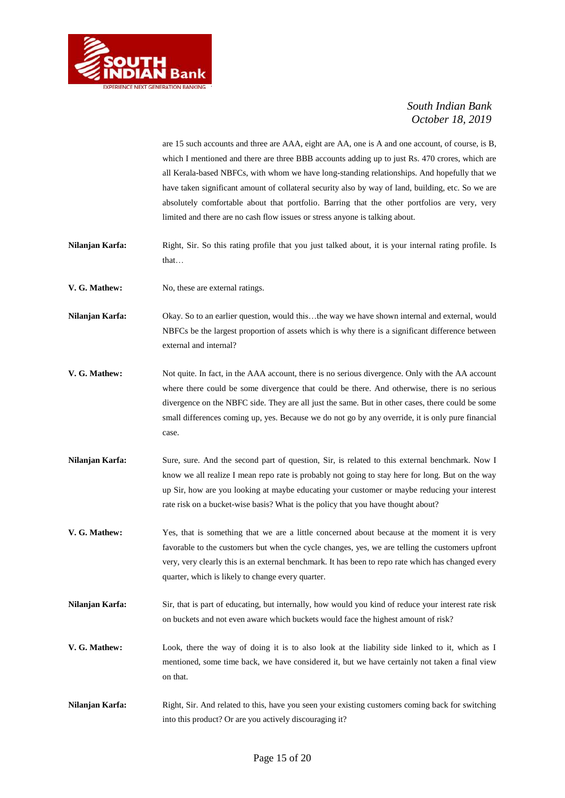

are 15 such accounts and three are AAA, eight are AA, one is A and one account, of course, is B, which I mentioned and there are three BBB accounts adding up to just Rs. 470 crores, which are all Kerala-based NBFCs, with whom we have long-standing relationships. And hopefully that we have taken significant amount of collateral security also by way of land, building, etc. So we are absolutely comfortable about that portfolio. Barring that the other portfolios are very, very limited and there are no cash flow issues or stress anyone is talking about.

- **Nilanjan Karfa:** Right, Sir. So this rating profile that you just talked about, it is your internal rating profile. Is that…
- **V. G. Mathew:** No. these are external ratings.

**Nilanjan Karfa:** Okay. So to an earlier question, would this…the way we have shown internal and external, would NBFCs be the largest proportion of assets which is why there is a significant difference between external and internal?

- **V. G. Mathew:** Not quite. In fact, in the AAA account, there is no serious divergence. Only with the AA account where there could be some divergence that could be there. And otherwise, there is no serious divergence on the NBFC side. They are all just the same. But in other cases, there could be some small differences coming up, yes. Because we do not go by any override, it is only pure financial case.
- **Nilanjan Karfa:** Sure, sure. And the second part of question, Sir, is related to this external benchmark. Now I know we all realize I mean repo rate is probably not going to stay here for long. But on the way up Sir, how are you looking at maybe educating your customer or maybe reducing your interest rate risk on a bucket-wise basis? What is the policy that you have thought about?
- **V. G. Mathew:** Yes, that is something that we are a little concerned about because at the moment it is very favorable to the customers but when the cycle changes, yes, we are telling the customers upfront very, very clearly this is an external benchmark. It has been to repo rate which has changed every quarter, which is likely to change every quarter.
- **Nilanjan Karfa:** Sir, that is part of educating, but internally, how would you kind of reduce your interest rate risk on buckets and not even aware which buckets would face the highest amount of risk?
- **V. G. Mathew:** Look, there the way of doing it is to also look at the liability side linked to it, which as I mentioned, some time back, we have considered it, but we have certainly not taken a final view on that.
- **Nilanjan Karfa:** Right, Sir. And related to this, have you seen your existing customers coming back for switching into this product? Or are you actively discouraging it?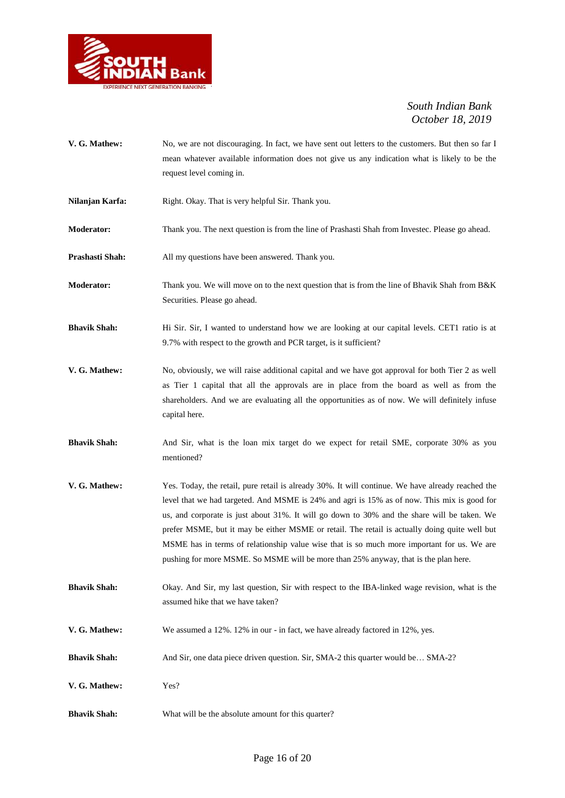

- **V. G. Mathew:** No, we are not discouraging. In fact, we have sent out letters to the customers. But then so far I mean whatever available information does not give us any indication what is likely to be the request level coming in.
- Nilanjan Karfa: Right. Okay. That is very helpful Sir. Thank you.
- **Moderator:** Thank you. The next question is from the line of Prashasti Shah from Investec. Please go ahead.
- **Prashasti Shah:** All my questions have been answered. Thank you.
- **Moderator:** Thank you. We will move on to the next question that is from the line of Bhavik Shah from B&K Securities. Please go ahead.
- **Bhavik Shah:** Hi Sir. Sir, I wanted to understand how we are looking at our capital levels. CET1 ratio is at 9.7% with respect to the growth and PCR target, is it sufficient?
- **V. G. Mathew:** No, obviously, we will raise additional capital and we have got approval for both Tier 2 as well as Tier 1 capital that all the approvals are in place from the board as well as from the shareholders. And we are evaluating all the opportunities as of now. We will definitely infuse capital here.
- **Bhavik Shah:** And Sir, what is the loan mix target do we expect for retail SME, corporate 30% as you mentioned?
- **V. G. Mathew:** Yes. Today, the retail, pure retail is already 30%. It will continue. We have already reached the level that we had targeted. And MSME is 24% and agri is 15% as of now. This mix is good for us, and corporate is just about 31%. It will go down to 30% and the share will be taken. We prefer MSME, but it may be either MSME or retail. The retail is actually doing quite well but MSME has in terms of relationship value wise that is so much more important for us. We are pushing for more MSME. So MSME will be more than 25% anyway, that is the plan here.
- **Bhavik Shah:** Okay. And Sir, my last question, Sir with respect to the IBA-linked wage revision, what is the assumed hike that we have taken?
- **V. G. Mathew:** We assumed a 12%. 12% in our in fact, we have already factored in 12%, yes.
- **Bhavik Shah:** And Sir, one data piece driven question. Sir, SMA-2 this quarter would be... SMA-2?
- **V. G. Mathew:** Yes?
- **Bhavik Shah:** What will be the absolute amount for this quarter?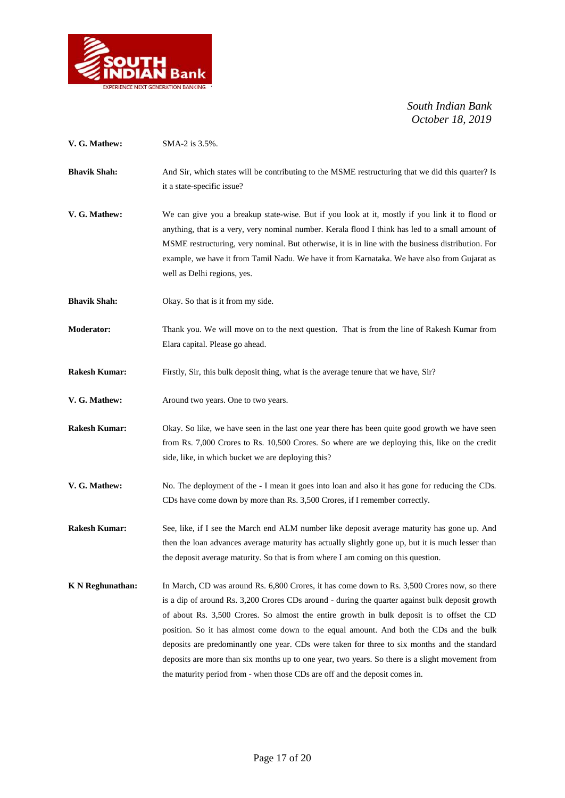

| V. G. Mathew:           | SMA-2 is 3.5%.                                                                                                                                                                                                                                                                                                                                                                                                                                                                                                                                                                                                                                                             |
|-------------------------|----------------------------------------------------------------------------------------------------------------------------------------------------------------------------------------------------------------------------------------------------------------------------------------------------------------------------------------------------------------------------------------------------------------------------------------------------------------------------------------------------------------------------------------------------------------------------------------------------------------------------------------------------------------------------|
| <b>Bhavik Shah:</b>     | And Sir, which states will be contributing to the MSME restructuring that we did this quarter? Is<br>it a state-specific issue?                                                                                                                                                                                                                                                                                                                                                                                                                                                                                                                                            |
| V. G. Mathew:           | We can give you a breakup state-wise. But if you look at it, mostly if you link it to flood or<br>anything, that is a very, very nominal number. Kerala flood I think has led to a small amount of<br>MSME restructuring, very nominal. But otherwise, it is in line with the business distribution. For<br>example, we have it from Tamil Nadu. We have it from Karnataka. We have also from Gujarat as<br>well as Delhi regions, yes.                                                                                                                                                                                                                                    |
| <b>Bhavik Shah:</b>     | Okay. So that is it from my side.                                                                                                                                                                                                                                                                                                                                                                                                                                                                                                                                                                                                                                          |
| <b>Moderator:</b>       | Thank you. We will move on to the next question. That is from the line of Rakesh Kumar from<br>Elara capital. Please go ahead.                                                                                                                                                                                                                                                                                                                                                                                                                                                                                                                                             |
| <b>Rakesh Kumar:</b>    | Firstly, Sir, this bulk deposit thing, what is the average tenure that we have, Sir?                                                                                                                                                                                                                                                                                                                                                                                                                                                                                                                                                                                       |
| V. G. Mathew:           | Around two years. One to two years.                                                                                                                                                                                                                                                                                                                                                                                                                                                                                                                                                                                                                                        |
| <b>Rakesh Kumar:</b>    | Okay. So like, we have seen in the last one year there has been quite good growth we have seen<br>from Rs. 7,000 Crores to Rs. 10,500 Crores. So where are we deploying this, like on the credit<br>side, like, in which bucket we are deploying this?                                                                                                                                                                                                                                                                                                                                                                                                                     |
| V. G. Mathew:           | No. The deployment of the - I mean it goes into loan and also it has gone for reducing the CDs.<br>CDs have come down by more than Rs. 3,500 Crores, if I remember correctly.                                                                                                                                                                                                                                                                                                                                                                                                                                                                                              |
| <b>Rakesh Kumar:</b>    | See, like, if I see the March end ALM number like deposit average maturity has gone up. And<br>then the loan advances average maturity has actually slightly gone up, but it is much lesser than<br>the deposit average maturity. So that is from where I am coming on this question.                                                                                                                                                                                                                                                                                                                                                                                      |
| <b>K</b> N Reghunathan: | In March, CD was around Rs. 6,800 Crores, it has come down to Rs. 3,500 Crores now, so there<br>is a dip of around Rs. 3,200 Crores CDs around - during the quarter against bulk deposit growth<br>of about Rs. 3,500 Crores. So almost the entire growth in bulk deposit is to offset the CD<br>position. So it has almost come down to the equal amount. And both the CDs and the bulk<br>deposits are predominantly one year. CDs were taken for three to six months and the standard<br>deposits are more than six months up to one year, two years. So there is a slight movement from<br>the maturity period from - when those CDs are off and the deposit comes in. |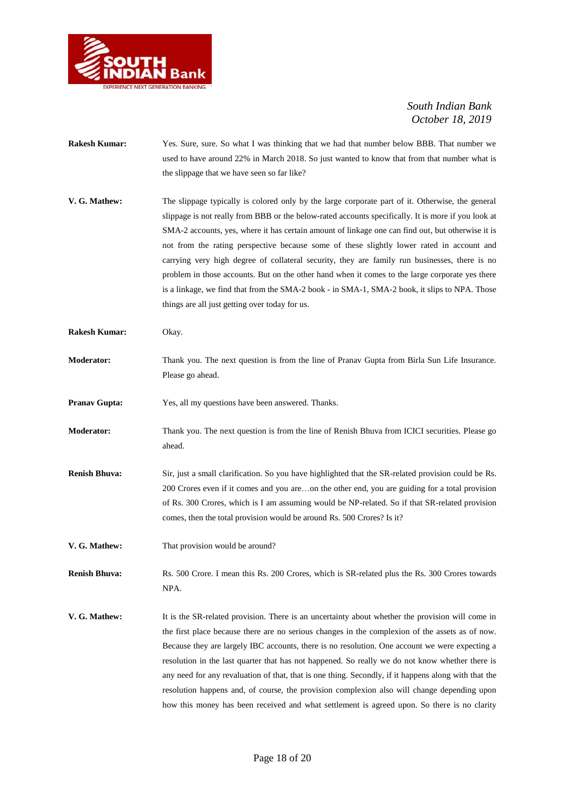

- **Rakesh Kumar:** Yes. Sure, sure. So what I was thinking that we had that number below BBB. That number we used to have around 22% in March 2018. So just wanted to know that from that number what is the slippage that we have seen so far like?
- **V. G. Mathew:** The slippage typically is colored only by the large corporate part of it. Otherwise, the general slippage is not really from BBB or the below-rated accounts specifically. It is more if you look at SMA-2 accounts, yes, where it has certain amount of linkage one can find out, but otherwise it is not from the rating perspective because some of these slightly lower rated in account and carrying very high degree of collateral security, they are family run businesses, there is no problem in those accounts. But on the other hand when it comes to the large corporate yes there is a linkage, we find that from the SMA-2 book - in SMA-1, SMA-2 book, it slips to NPA. Those things are all just getting over today for us.
- **Rakesh Kumar:** Okay.
- **Moderator:** Thank you. The next question is from the line of Pranav Gupta from Birla Sun Life Insurance. Please go ahead.
- **Pranav Gupta:** Yes, all my questions have been answered. Thanks.
- **Moderator:** Thank you. The next question is from the line of Renish Bhuva from ICICI securities. Please go ahead.
- **Renish Bhuva:** Sir, just a small clarification. So you have highlighted that the SR-related provision could be Rs. 200 Crores even if it comes and you are…on the other end, you are guiding for a total provision of Rs. 300 Crores, which is I am assuming would be NP-related. So if that SR-related provision comes, then the total provision would be around Rs. 500 Crores? Is it?
- **V. G. Mathew:** That provision would be around?

**Renish Bhuva:** Rs. 500 Crore. I mean this Rs. 200 Crores, which is SR-related plus the Rs. 300 Crores towards NPA.

**V. G. Mathew:** It is the SR-related provision. There is an uncertainty about whether the provision will come in the first place because there are no serious changes in the complexion of the assets as of now. Because they are largely IBC accounts, there is no resolution. One account we were expecting a resolution in the last quarter that has not happened. So really we do not know whether there is any need for any revaluation of that, that is one thing. Secondly, if it happens along with that the resolution happens and, of course, the provision complexion also will change depending upon how this money has been received and what settlement is agreed upon. So there is no clarity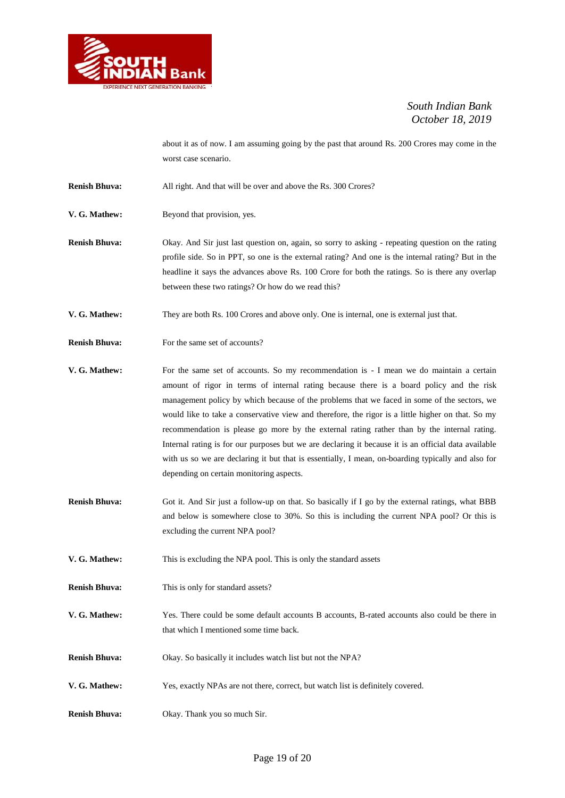

about it as of now. I am assuming going by the past that around Rs. 200 Crores may come in the worst case scenario.

**Renish Bhuva:** All right. And that will be over and above the Rs. 300 Crores?

**V. G. Mathew:** Beyond that provision, yes.

**Renish Bhuva:** Okay. And Sir just last question on, again, so sorry to asking - repeating question on the rating profile side. So in PPT, so one is the external rating? And one is the internal rating? But in the headline it says the advances above Rs. 100 Crore for both the ratings. So is there any overlap between these two ratings? Or how do we read this?

**V. G. Mathew:** They are both Rs. 100 Crores and above only. One is internal, one is external just that.

**Renish Bhuva:** For the same set of accounts?

**V. G. Mathew:** For the same set of accounts. So my recommendation is - I mean we do maintain a certain amount of rigor in terms of internal rating because there is a board policy and the risk management policy by which because of the problems that we faced in some of the sectors, we would like to take a conservative view and therefore, the rigor is a little higher on that. So my recommendation is please go more by the external rating rather than by the internal rating. Internal rating is for our purposes but we are declaring it because it is an official data available with us so we are declaring it but that is essentially, I mean, on-boarding typically and also for depending on certain monitoring aspects.

- **Renish Bhuva:** Got it. And Sir just a follow-up on that. So basically if I go by the external ratings, what BBB and below is somewhere close to 30%. So this is including the current NPA pool? Or this is excluding the current NPA pool?
- **V. G. Mathew:** This is excluding the NPA pool. This is only the standard assets
- **Renish Bhuva:** This is only for standard assets?
- **V. G. Mathew:** Yes. There could be some default accounts B accounts, B-rated accounts also could be there in that which I mentioned some time back.
- **Renish Bhuva:** Okay. So basically it includes watch list but not the NPA?
- **V. G. Mathew:** Yes, exactly NPAs are not there, correct, but watch list is definitely covered.
- **Renish Bhuva:** Okay. Thank you so much Sir.